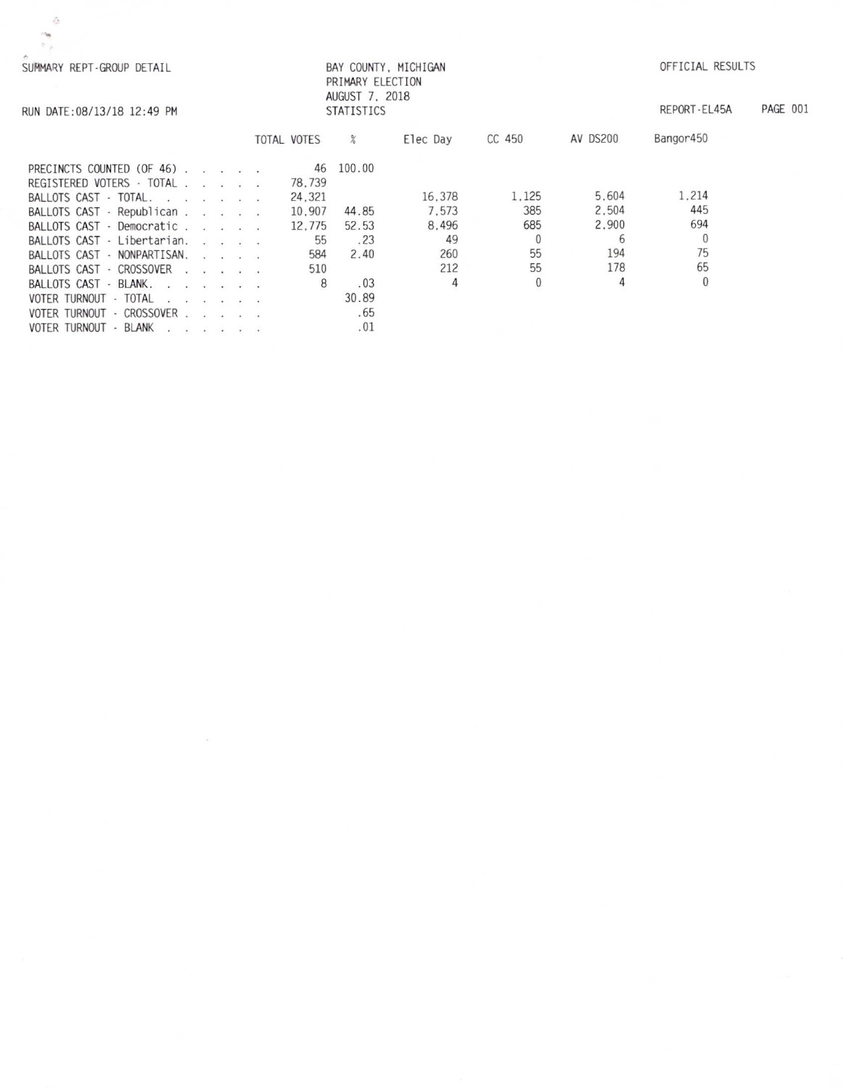| BAY COUNTY, MICHIGAN<br>SUMMARY REPT-GROUP DETAIL<br>PRIMARY ELECTION                                                                                                                                                                                                                                                                                                                                                                                                  | OFFICIAL RESULTS         |
|------------------------------------------------------------------------------------------------------------------------------------------------------------------------------------------------------------------------------------------------------------------------------------------------------------------------------------------------------------------------------------------------------------------------------------------------------------------------|--------------------------|
| AUGUST 7, 2018<br><b>STATISTICS</b><br>RUN DATE: 08/13/18 12:49 PM                                                                                                                                                                                                                                                                                                                                                                                                     | PAGE 001<br>REPORT-EL45A |
| AV DS200<br>CC 450<br>TOTAL VOTES<br>%<br>Elec Day                                                                                                                                                                                                                                                                                                                                                                                                                     | Bangor450                |
| 100.00<br>46<br>PRECINCTS COUNTED (OF 46).<br>78.739<br>REGISTERED VOTERS · TOTAL                                                                                                                                                                                                                                                                                                                                                                                      |                          |
| 5.604<br>1.125<br>16.378<br>24.321<br>BALLOTS CAST · TOTAL.                                                                                                                                                                                                                                                                                                                                                                                                            | 1.214                    |
| 2.504<br>385<br>7.573<br>44.85<br>BALLOTS CAST - Republican<br>10.907                                                                                                                                                                                                                                                                                                                                                                                                  | 445                      |
| 2.900<br>8.496<br>685<br>52.53<br>BALLOTS CAST - Democratic<br>12.775                                                                                                                                                                                                                                                                                                                                                                                                  | 694                      |
| 49<br>6<br>55<br>.23<br>BALLOTS CAST - Libertarian.                                                                                                                                                                                                                                                                                                                                                                                                                    | $\theta$                 |
| 55<br>194<br>260<br>2.40<br>584<br>BALLOTS CAST - NONPARTISAN.                                                                                                                                                                                                                                                                                                                                                                                                         | 75                       |
| 55<br>178<br>212<br>510<br>BALLOTS CAST - CROSSOVER<br>the company of the company                                                                                                                                                                                                                                                                                                                                                                                      | 65                       |
| 4<br>4<br>8<br>.03<br>BALLOTS CAST - BLANK.<br>$\begin{array}{cccccccccccccc} x & x & x & y & x & z & y & 0 \end{array}$                                                                                                                                                                                                                                                                                                                                               | $\theta$                 |
| 30.89<br>VOTER TURNOUT - TOTAL<br>$\label{eq:2.1} \begin{array}{cccccccccccccc} \mathbf{1} & \mathbf{1} & \mathbf{1} & \mathbf{1} & \mathbf{1} & \mathbf{1} & \mathbf{1} & \mathbf{1} & \mathbf{1} & \mathbf{1} & \mathbf{1} & \mathbf{1} & \mathbf{1} & \mathbf{1} & \mathbf{1} & \mathbf{1} & \mathbf{1} & \mathbf{1} & \mathbf{1} & \mathbf{1} & \mathbf{1} & \mathbf{1} & \mathbf{1} & \mathbf{1} & \mathbf{1} & \mathbf{1} & \mathbf{1} & \mathbf{1} & \mathbf{1$ |                          |
| .65<br>VOTER TURNOUT - CROSSOVER<br>and the contract con-                                                                                                                                                                                                                                                                                                                                                                                                              |                          |
| .01<br>VOTER TURNOUT - BLANK                                                                                                                                                                                                                                                                                                                                                                                                                                           |                          |

 $-\frac{\sqrt{3}}{2}$  $\mathcal{C}_{\mathcal{A}}$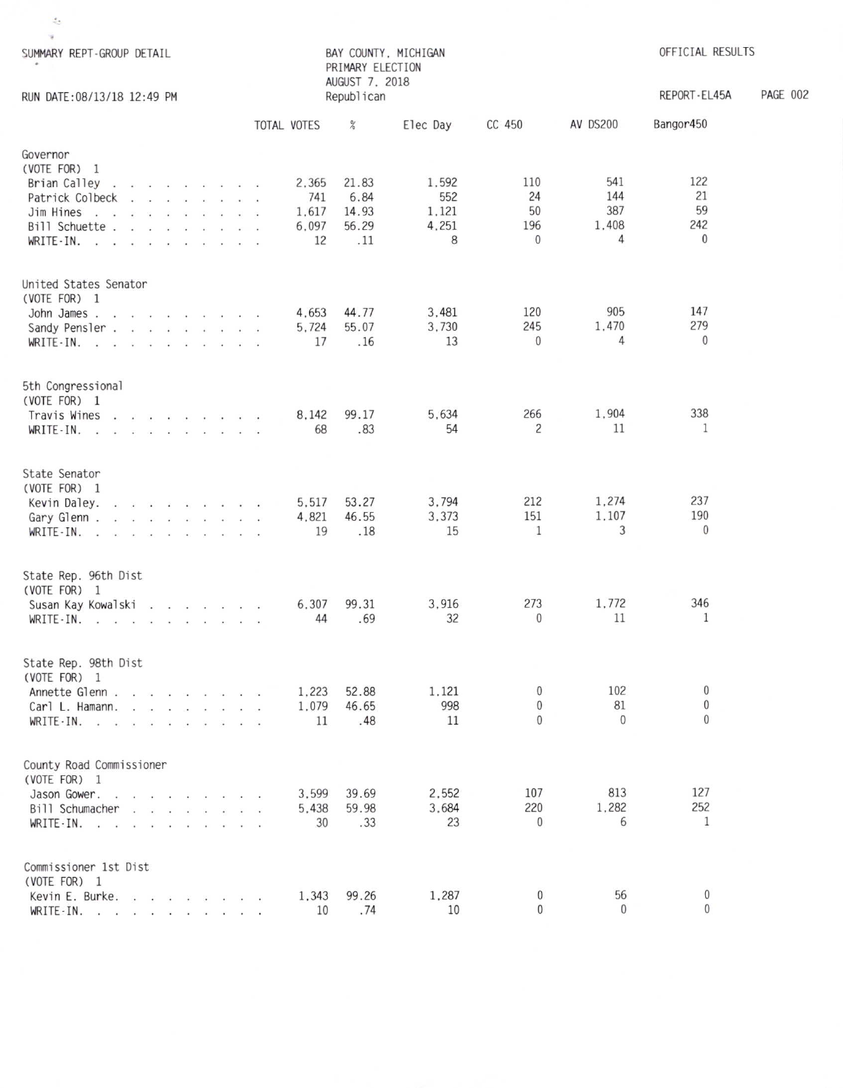| $\frac{\sigma}{\sigma_{\rm c}}$                                                                                                                                                                                                                                                                                                                                                                                                                                                                                           |                                      |                                                            |                                     |                                         |                                 |                                         |                 |
|---------------------------------------------------------------------------------------------------------------------------------------------------------------------------------------------------------------------------------------------------------------------------------------------------------------------------------------------------------------------------------------------------------------------------------------------------------------------------------------------------------------------------|--------------------------------------|------------------------------------------------------------|-------------------------------------|-----------------------------------------|---------------------------------|-----------------------------------------|-----------------|
| w.                                                                                                                                                                                                                                                                                                                                                                                                                                                                                                                        |                                      |                                                            |                                     |                                         |                                 |                                         |                 |
| SUMMARY REPT-GROUP DETAIL                                                                                                                                                                                                                                                                                                                                                                                                                                                                                                 |                                      | BAY COUNTY, MICHIGAN<br>PRIMARY ELECTION<br>AUGUST 7, 2018 |                                     |                                         |                                 | OFFICIAL RESULTS                        |                 |
| RUN DATE: 08/13/18 12:49 PM                                                                                                                                                                                                                                                                                                                                                                                                                                                                                               |                                      | Republican                                                 |                                     |                                         |                                 | REPORT-EL45A                            | <b>PAGE 002</b> |
|                                                                                                                                                                                                                                                                                                                                                                                                                                                                                                                           | TOTAL VOTES                          | $\%$                                                       | Elec Day                            | CC 450                                  | AV DS200                        | Bangor450                               |                 |
| Governor<br>(VOTE FOR) 1<br>Brian Calley<br>and a companies that the companies<br>Patrick Colbeck<br>$\mathbf{r}$ . The contract of the contract of the contract of the contract of the contract of the contract of the contract of the contract of the contract of the contract of the contract of the contract of the contract of th<br>Jim Hines<br>Bill Schuette<br>$WRITE-IN.$ $\ldots$ $\ldots$ $\ldots$                                                                                                            | 2,365<br>741<br>1,617<br>6,097<br>12 | 21.83<br>6.84<br>14.93<br>56.29<br>.11                     | 1,592<br>552<br>1,121<br>4,251<br>8 | 110<br>24<br>50<br>196<br>$\mathbf{0}$  | 541<br>144<br>387<br>1,408<br>4 | 122<br>21<br>59<br>242<br>$\mathbf{0}$  |                 |
| United States Senator<br>(VOTE FOR) 1<br>John James<br>Sandy Pensler.<br>WRITE-IN.<br>.                                                                                                                                                                                                                                                                                                                                                                                                                                   | 4.653<br>5,724<br>17                 | 44.77<br>55.07<br>.16                                      | 3,481<br>3,730<br>13                | 120<br>245<br>$\mathbf{0}$              | 905<br>1,470<br>4               | 147<br>279<br>$\mathbf{0}$              |                 |
| 5th Congressional<br>(VOTE FOR) 1<br>Travis Wines<br>WRITE-IN.                                                                                                                                                                                                                                                                                                                                                                                                                                                            | 8.142<br>68                          | 99.17<br>.83                                               | 5,634<br>54                         | 266<br>$\overline{c}$                   | 1,904<br>11                     | 338<br>$\mathbf{1}$                     |                 |
| State Senator<br>(VOTE FOR) 1<br>$\begin{array}{cccccccccccccc} \mathbf{1} & \mathbf{1} & \mathbf{1} & \mathbf{1} & \mathbf{1} & \mathbf{1} & \mathbf{1} & \mathbf{1} & \mathbf{1} & \mathbf{1} & \mathbf{1} & \mathbf{1} & \mathbf{1} & \mathbf{1} & \mathbf{1} & \mathbf{1} & \mathbf{1} & \mathbf{1} & \mathbf{1} & \mathbf{1} & \mathbf{1} & \mathbf{1} & \mathbf{1} & \mathbf{1} & \mathbf{1} & \mathbf{1} & \mathbf{1} & \mathbf{1} & \mathbf{1} & \mathbf{1} &$<br>Kevin Daley.<br>Gary Glenn<br>$WRITE \cdot IN.$ | 5,517<br>4,821<br>19                 | 53.27<br>46.55<br>.18                                      | 3,794<br>3.373<br>15                | 212<br>151<br>$\mathbf{1}$              | 1,274<br>1,107<br>3             | 237<br>190<br>$\mathbf{0}$              |                 |
| State Rep. 96th Dist<br>(VOTE FOR) 1<br>Susan Kay Kowalski<br>WRITE - IN. $\cdot$                                                                                                                                                                                                                                                                                                                                                                                                                                         | 6,307<br>44                          | 99.31<br>.69                                               | 3,916<br>32                         | 273<br>$\mathbf{0}$                     | 1,772<br>11                     | 346<br>1                                |                 |
| State Rep. 98th Dist<br>(VOTE FOR) 1<br>Annette Glenn<br>Carl L. Hamann.<br>WRITE - IN. $\blacksquare$                                                                                                                                                                                                                                                                                                                                                                                                                    | 1,223<br>1.079<br>11                 | 52.88<br>46.65<br>.48                                      | 1,121<br>998<br>11                  | $\mathbf{0}$<br>$\mathbf 0$<br>$\Omega$ | 102<br>81<br>$\mathbf{0}$       | $\mathbf 0$<br>$\theta$<br>$\mathbf{0}$ |                 |
| County Road Commissioner<br>(VOTE FOR) 1<br>Jason Gower.<br>the contract of the contract of the contract of the contract of the contract of the contract of the contract of<br>Bill Schumacher<br>$WRITE-IN.$ $\ldots$ $\ldots$ $\ldots$ $\ldots$                                                                                                                                                                                                                                                                         | 3.599<br>5.438<br>30                 | 39.69<br>59.98<br>.33                                      | 2,552<br>3.684<br>23                | 107<br>220<br>$\Omega$                  | 813<br>1,282<br>6               | 127<br>252<br>$\mathbf{1}$              |                 |
| Commissioner 1st Dist<br>(VOTE FOR) 1<br>Kevin E. Burke.<br>WRITE-IN. $\cdots$ $\cdots$ $\cdots$                                                                                                                                                                                                                                                                                                                                                                                                                          | 1,343<br>10                          | 99.26<br>.74                                               | 1,287<br>10                         | $^{0}$<br>$\Omega$                      | 56<br>$\Omega$                  | $\mathbf{0}$<br>$\Omega$                |                 |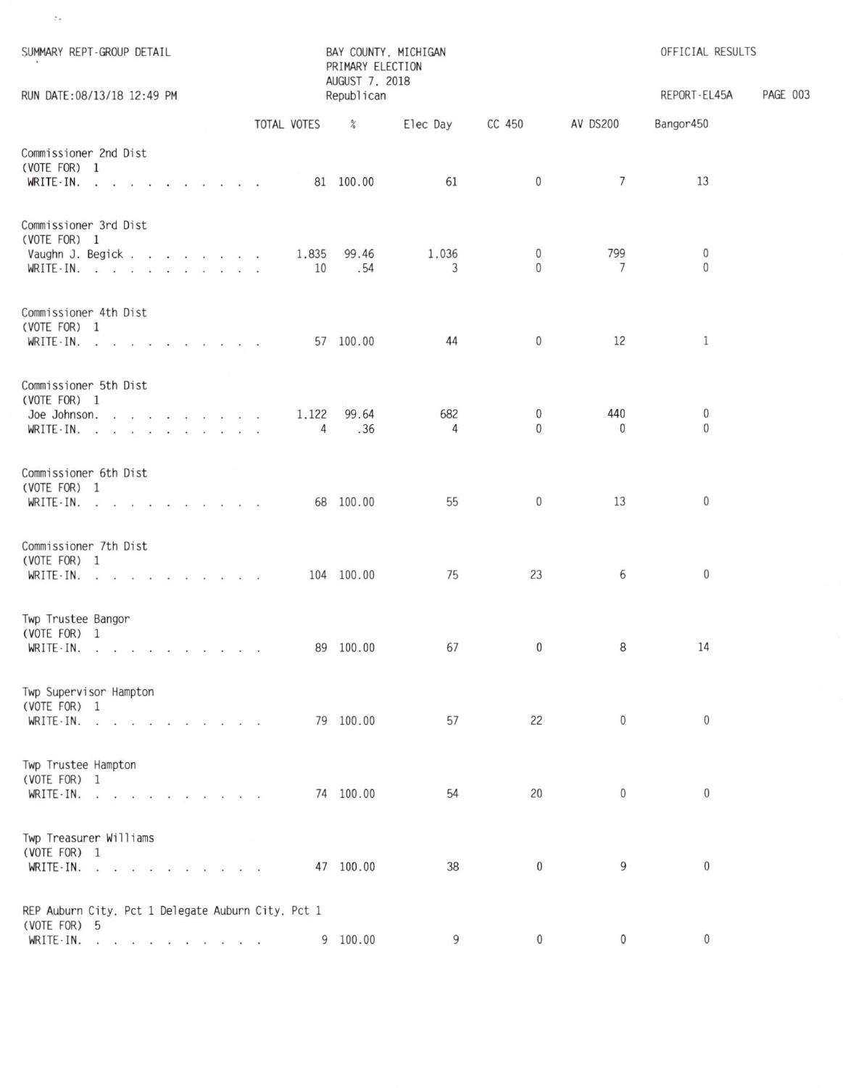| SUMMARY REPT-GROUP DETAIL                                          |  |  |             | PRIMARY ELECTION<br>AUGUST 7, 2018 | BAY COUNTY, MICHIGAN |                              |                     | OFFICIAL RESULTS          | PAGE 003 |
|--------------------------------------------------------------------|--|--|-------------|------------------------------------|----------------------|------------------------------|---------------------|---------------------------|----------|
| RUN DATE: 08/13/18 12:49 PM                                        |  |  |             | Republican                         |                      |                              |                     | REPORT-EL45A<br>Bangor450 |          |
|                                                                    |  |  | TOTAL VOTES | %                                  | Elec Day CC 450      |                              | AV DS200            |                           |          |
| Commissioner 2nd Dist<br>(VOTE FOR) 1<br>WRITE-IN.                 |  |  |             | 81 100.00                          | 61                   | $\mathbf{0}$                 | $7\overline{ }$     | 13                        |          |
| Commissioner 3rd Dist<br>(VOTE FOR) 1<br>Vaughn J. Begick          |  |  | 1,835       | 99.46                              | 1,036                | $\mathbf{0}$                 | 799                 | $\mathbf{0}$              |          |
| WRITE-IN.                                                          |  |  | 10          | .54                                | 3                    | $\Omega$                     | 7                   | $\mathbf{0}$              |          |
| Commissioner 4th Dist<br>(VOTE FOR) 1<br>WRITE-IN.                 |  |  |             | 57 100.00                          | 44                   | $\mathbf 0$                  | 12                  | $\mathbf{1}$              |          |
| Commissioner 5th Dist<br>(VOTE FOR) 1                              |  |  |             |                                    |                      |                              |                     |                           |          |
| Joe Johnson.<br>WRITE-IN. $\cdot$                                  |  |  | 4           | 1.122 99.64<br>.36                 | 682<br>4             | $\mathbf{0}$<br>$\mathbf{0}$ | 440<br>$\mathbf{0}$ | $\bf{0}$<br>$\mathbf{0}$  |          |
| Commissioner 6th Dist<br>(VOTE FOR) 1<br>WRITE - IN.               |  |  |             | 68 100.00                          | 55                   | $\mathbf{0}$                 | 13                  | $\mathbf{0}$              |          |
| Commissioner 7th Dist<br>(VOTE FOR) 1                              |  |  |             |                                    |                      |                              |                     |                           |          |
| WRITE-IN.                                                          |  |  |             | 104 100.00                         | 75                   | 23                           | 6                   | $\boldsymbol{0}$          |          |
| Twp Trustee Bangor<br>(VOTE FOR) 1<br>WRITE-IN.                    |  |  |             | 89 100.00                          | 67                   | $\mathbf{0}$                 | 8                   | 14                        |          |
| Twp Supervisor Hampton<br>(VOTE FOR) 1<br>WRITE $\cdot$ IN.        |  |  |             | 79 100.00                          | 57                   | 22                           | $\mathbf{0}$        | $\overline{0}$            |          |
| Twp Trustee Hampton<br>(VOTE FOR) 1<br>WRITE-IN.                   |  |  |             | 74 100.00                          | 54                   | 20                           | $\mathbf 0$         | $\mathbf{0}$              |          |
| Twp Treasurer Williams<br>(VOTE FOR) 1<br>WRITE-IN.                |  |  |             | 47 100.00                          | 38                   | $\mathbf{0}$                 | 9                   | $\theta$                  |          |
|                                                                    |  |  |             |                                    |                      |                              |                     |                           |          |
| REP Auburn City, Pct 1 Delegate Auburn City, Pct 1<br>(VOTE FOR) 5 |  |  |             |                                    |                      |                              |                     |                           |          |
| WRITE-IN.                                                          |  |  |             | 9 100.00                           | 9                    | $\mathbf{0}$                 | $\mathbf{0}$        | $\overline{0}$            |          |

 $\mathcal{L}_{\mathcal{I}}$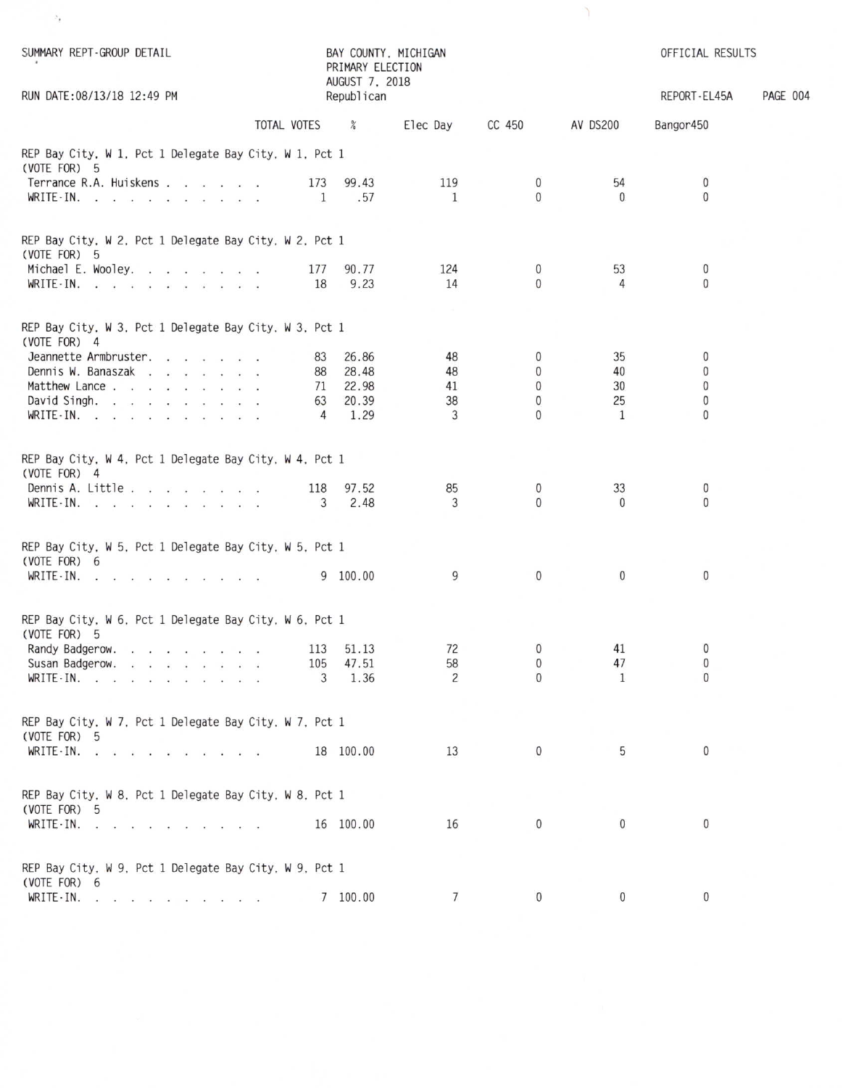| SUMMARY REPT-GROUP DETAIL                                              |                | BAY COUNTY, MICHIGAN<br>PRIMARY ELECTION<br>AUGUST 7, 2018 |                 |                |                 | OFFICIAL RESULTS |          |
|------------------------------------------------------------------------|----------------|------------------------------------------------------------|-----------------|----------------|-----------------|------------------|----------|
| RUN DATE: 08/13/18 12:49 PM                                            |                | Republican                                                 |                 |                |                 | REPORT-EL45A     | PAGE 004 |
|                                                                        | TOTAL VOTES    | $\%$                                                       | Elec Day        | CC 450         | <b>AV DS200</b> | Bangor450        |          |
| REP Bay City, W 1, Pct 1 Delegate Bay City, W 1, Pct 1                 |                |                                                            |                 |                |                 |                  |          |
| (VOTE FOR) 5<br>Terrance R.A. Huiskens                                 | 173            | 99.43                                                      | 119             | $\mathbf{0}$   | 54              | $\mathbf{0}$     |          |
| WRITE-IN.                                                              | <sup>1</sup>   | .57                                                        | <sup>1</sup>    | $\mathbf{0}$   | $\Omega$        | $\mathbf{0}$     |          |
|                                                                        |                |                                                            |                 |                |                 |                  |          |
| REP Bay City, W 2, Pct 1 Delegate Bay City, W 2, Pct 1<br>(VOTE FOR) 5 |                |                                                            |                 |                |                 |                  |          |
| Michael E. Wooley.                                                     | 177            | 90.77                                                      | 124             | $\bf{0}$       | 53              | $\bf{0}$         |          |
| WRITE-IN.                                                              | 18             | 9.23                                                       | 14              | $\Omega$       | 4               | $\mathbf{0}$     |          |
| REP Bay City, W 3, Pct 1 Delegate Bay City, W 3, Pct 1<br>(VOTE FOR) 4 |                |                                                            |                 |                |                 |                  |          |
| Jeannette Armbruster.                                                  | 83             | 26.86                                                      | 48              | $\mathbf{0}$   | 35              | 0                |          |
| Dennis W. Banaszak                                                     | 88             | 28.48                                                      | 48              | $\bf{0}$       | 40              | $\bf{0}$         |          |
| Matthew Lance                                                          |                | 71 22.98                                                   | 41              | $\mathbf{0}$   | 30              | $\bf{0}$         |          |
| David Singh.                                                           | 63             | 20.39                                                      | 38              | $\mathbf{0}$   | 25              | 0                |          |
| WRITE-IN.                                                              | $\overline{4}$ | 1.29                                                       | 3               | $\Omega$       | $\mathbf{1}$    | $\Omega$         |          |
| REP Bay City, W 4, Pct 1 Delegate Bay City, W 4, Pct 1<br>(VOTE FOR) 4 |                |                                                            |                 |                |                 |                  |          |
| Dennis A. Little                                                       | 118            | 97.52                                                      | 85              | $\bf{0}$       | 33              | 0                |          |
| WRITE-IN.                                                              | 3              | 2.48                                                       | 3               | $\Omega$       | $\Omega$        | $\mathbf{0}$     |          |
| REP Bay City, W 5, Pct 1 Delegate Bay City, W 5, Pct 1<br>(VOTE FOR) 6 |                |                                                            |                 |                |                 |                  |          |
| WRITE-IN.                                                              |                | 9 100.00                                                   | 9               | $\pmb{0}$      | $\mathbf{0}$    | $\mathbf 0$      |          |
|                                                                        |                |                                                            |                 |                |                 |                  |          |
| REP Bay City, W 6, Pct 1 Delegate Bay City, W 6, Pct 1<br>(VOTE FOR) 5 |                |                                                            |                 |                |                 |                  |          |
| Randy Badgerow.                                                        |                | 113 51.13                                                  | 72              | $\mathbf{0}$   | 41              | $\mathbf{0}$     |          |
| Susan Badgerow.                                                        |                | 105 47.51                                                  | 58              | $\overline{0}$ | 47              | $\mathbf{0}$     |          |
| WRITE $\cdot$ IN.                                                      | 3              | 1.36                                                       | 2               | $\Omega$       | 1               | $\mathbf{0}$     |          |
| REP Bay City, W 7, Pct 1 Delegate Bay City, W 7, Pct 1                 |                |                                                            |                 |                |                 |                  |          |
| (VOTE FOR) 5                                                           |                |                                                            | 13              | $\mathbf 0$    | 5               | $\mathbf{0}$     |          |
| WRITE IN. $\cdots$ $\cdots$ $\cdots$                                   |                | 18 100.00                                                  |                 |                |                 |                  |          |
| REP Bay City, W 8, Pct 1 Delegate Bay City, W 8, Pct 1<br>(VOTE FOR) 5 |                |                                                            |                 |                |                 |                  |          |
| WRITE IN. $\cdots$ $\cdots$ $\cdots$                                   |                | 16 100.00                                                  | 16              | $\mathbf{0}$   | $\mathbf{0}$    | $\mathbf{0}$     |          |
| REP Bay City, W 9, Pct 1 Delegate Bay City, W 9, Pct 1                 |                |                                                            |                 |                |                 |                  |          |
| (VOTE FOR) 6                                                           |                |                                                            |                 |                |                 |                  |          |
| $WRITE-IN.$ $\ldots$ $\ldots$ $\ldots$                                 |                | 7 100.00                                                   | $7\phantom{.0}$ | $\mathbf 0$    | $\overline{0}$  | $\mathbf{0}$     |          |

 $\rightarrow$ 

 $\Delta$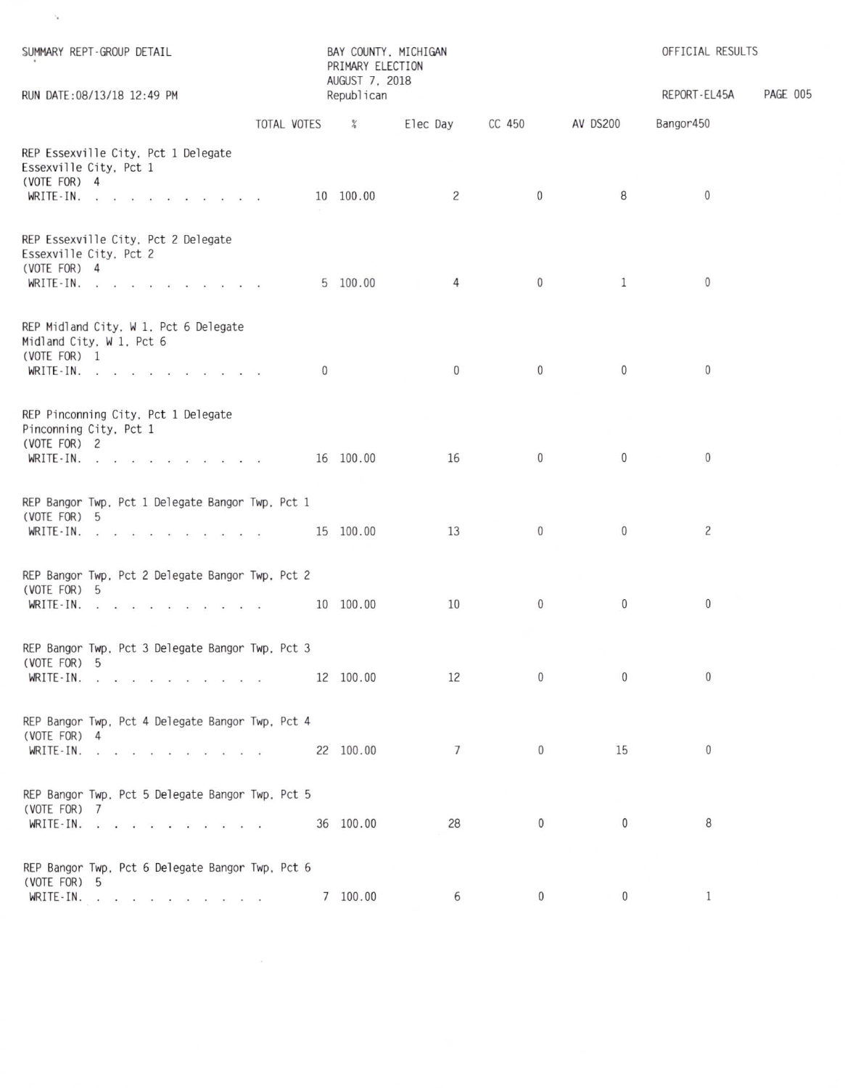| SUMMARY REPT-GROUP DETAIL<br>RUN DATE: 08/13/18 12:49 PM                                       |               | BAY COUNTY, MICHIGAN<br>PRIMARY ELECTION<br>AUGUST 7, 2018<br>Republican |                 |                |                | OFFICIAL RESULTS<br>REPORT-EL45A | PAGE 005 |
|------------------------------------------------------------------------------------------------|---------------|--------------------------------------------------------------------------|-----------------|----------------|----------------|----------------------------------|----------|
|                                                                                                |               |                                                                          |                 |                |                |                                  |          |
|                                                                                                | TOTAL VOTES % |                                                                          | Elec Day CC 450 |                | AV DS200       | Bangor450                        |          |
| REP Essexville City, Pct 1 Delegate<br>Essexville City, Pct 1<br>(VOTE FOR) 4<br>WRITE-IN.     |               | 10 100.00                                                                | $\overline{c}$  | $\overline{0}$ | 8              | $\overline{0}$                   |          |
| REP Essexville City, Pct 2 Delegate<br>Essexville City, Pct 2<br>(VOTE FOR) 4                  |               |                                                                          |                 |                |                |                                  |          |
| WRITE-IN.                                                                                      |               | 5 100.00                                                                 | $\overline{4}$  | $\overline{0}$ | $\mathbf{1}$   | $\mathbf{0}$                     |          |
| REP Midland City, W 1, Pct 6 Delegate<br>Midland City, W 1, Pct 6<br>(VOTE FOR) 1<br>WRITE-IN. |               | $\mathbf{0}$                                                             | $\overline{0}$  | $\mathbf{0}$   | $\mathbf 0$    | $\overline{0}$                   |          |
| REP Pinconning City, Pct 1 Delegate<br>Pinconning City, Pct 1<br>(VOTE FOR) 2                  |               |                                                                          | 16              | $\mathbf{0}$   | $\mathbf{0}$   | $\overline{0}$                   |          |
| WRITE - IN.                                                                                    |               | 16 100.00                                                                |                 |                |                |                                  |          |
| REP Bangor Twp, Pct 1 Delegate Bangor Twp, Pct 1<br>(VOTE FOR) 5<br>WRITE - IN. 15 100.00      |               |                                                                          | 13              | $\mathbf{0}$   | $\mathbf{0}$   | $\overline{c}$                   |          |
| REP Bangor Twp, Pct 2 Delegate Bangor Twp, Pct 2<br>(VOTE FOR) 5<br>WRITE-IN.                  |               | 10 100.00                                                                | 10              | $\mathbf{0}$   | $\overline{0}$ | $\overline{0}$                   |          |
| REP Bangor Twp, Pct 3 Delegate Bangor Twp, Pct 3<br>(VOTE FOR) 5                               |               |                                                                          | 12              | $\mathbf{0}$   | $\mathbf 0$    | $\mathbf{0}$                     |          |
| WRITE-IN.                                                                                      |               | 12 100.00                                                                |                 |                |                |                                  |          |
| REP Bangor Twp, Pct 4 Delegate Bangor Twp, Pct 4<br>(VOTE FOR) 4<br>WRITE-IN.                  |               | 22 100.00                                                                | $7\overline{ }$ | $\mathbf{0}$   | 15             | $\mathbf{0}$                     |          |
|                                                                                                |               |                                                                          |                 |                |                |                                  |          |
| REP Bangor Twp, Pct 5 Delegate Bangor Twp, Pct 5<br>(VOTE FOR) 7<br><b>WRITE-IN.</b>           |               | 36 100.00                                                                | 28              | $\mathbf{0}$   | $\mathbf{0}$   | 8                                |          |
| REP Bangor Twp, Pct 6 Delegate Bangor Twp, Pct 6<br>(VOTE FOR) 5                               |               |                                                                          |                 |                |                |                                  |          |
| WRITE-IN.                                                                                      |               | 7 100.00                                                                 | 6               | $\mathbf{0}$   | $\mathbf 0$    | $\mathbf{1}$                     |          |

 $\mathcal{N}_{\mathbf{z}}$